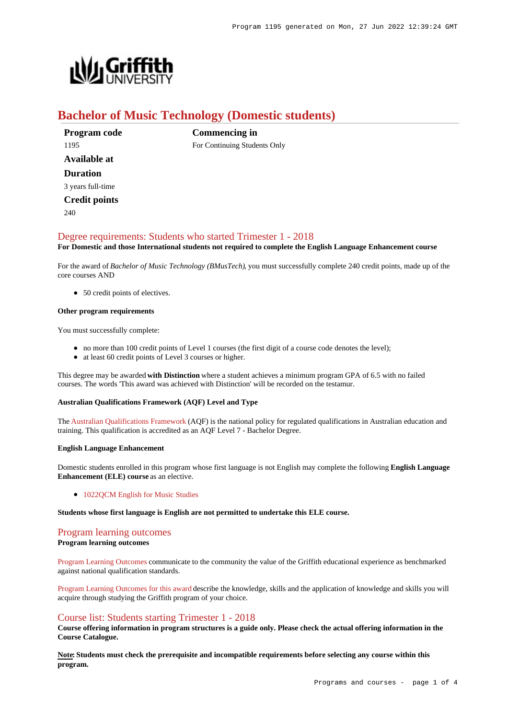

# **Bachelor of Music Technology (Domestic students)**

**Program code** 1195 **Available at Duration** 3 years full-time

**Credit points**

240

**Commencing in** For Continuing Students Only

## [Degree requirements: Students who started Trimester 1 - 2018](https://www148.griffith.edu.au/programs-courses/Program/1195/Courses/Domestic#degree-requirements)

**For Domestic and those International students not required to complete the English Language Enhancement course**

For the award of *Bachelor of Music Technology (BMusTech)*, you must successfully complete 240 credit points, made up of the core courses AND

• 50 credit points of electives.

#### **Other program requirements**

You must successfully complete:

- no more than 100 credit points of Level 1 courses (the first digit of a course code denotes the level);
- at least 60 credit points of Level 3 courses or higher.

This degree may be awarded **with Distinction** where a student achieves a minimum program GPA of 6.5 with no failed courses. The words 'This award was achieved with Distinction' will be recorded on the testamur.

#### **Australian Qualifications Framework (AQF) Level and Type**

The [Australian Qualifications Framework](http://www.aqf.edu.au/) (AQF) is the national policy for regulated qualifications in Australian education and training. This qualification is accredited as an AQF Level 7 - Bachelor Degree.

#### **English Language Enhancement**

Domestic students enrolled in this program whose first language is not English may complete the following **English Language Enhancement (ELE) course** as an elective.

• 1022OCM English for Music Studies

**Students whose first language is English are not permitted to undertake this ELE course.**

## [Program learning outcomes](https://www148.griffith.edu.au/programs-courses/Program/1195/Courses/Domestic#programLearningOutcomes)

#### **Program learning outcomes**

[Program Learning Outcomes](https://www.griffith.edu.au/__data/assets/pdf_file/0017/134522/PLO-general-advice.pdf) communicate to the community the value of the Griffith educational experience as benchmarked against national qualification standards.

[Program Learning Outcomes for this award](https://www.griffith.edu.au/__data/assets/pdf_file/0023/294044/BMusic-Technology-PLO-L7.pdf) describe the knowledge, skills and the application of knowledge and skills you will acquire through studying the Griffith program of your choice.

#### [Course list: Students starting Trimester 1 - 2018](https://www148.griffith.edu.au/programs-courses/Program/1195/Courses/Domestic#course-list-content)

**Course offering information in program structures is a guide only. Please check the actual offering information in the Course Catalogue.**

**Note: Students must check the prerequisite and incompatible requirements before selecting any course within this program.**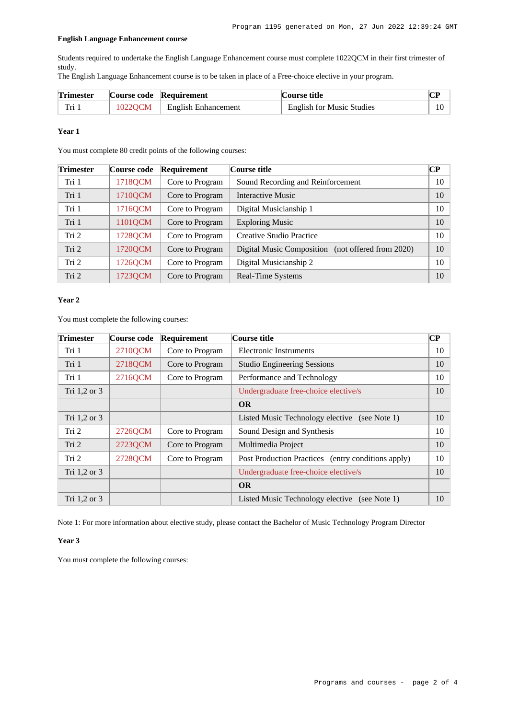#### **English Language Enhancement course**

Students required to undertake the English Language Enhancement course must complete 1022QCM in their first trimester of study.

The English Language Enhancement course is to be taken in place of a Free-choice elective in your program.

| <b>Trimester</b> | Course code Requirement |                               | Course title                     |  |
|------------------|-------------------------|-------------------------------|----------------------------------|--|
| Tri 1            |                         | 1022QCM   English Enhancement | <b>English for Music Studies</b> |  |

#### **Year 1**

You must complete 80 credit points of the following courses:

| <b>Trimester</b> | Course code | <b>Requirement</b> | Course title                                         | CР |
|------------------|-------------|--------------------|------------------------------------------------------|----|
| Tri 1            | 1718QCM     | Core to Program    | Sound Recording and Reinforcement                    | 10 |
| Tri 1            | 1710QCM     | Core to Program    | Interactive Music                                    | 10 |
| Tri 1            | 1716QCM     | Core to Program    | Digital Musicianship 1                               | 10 |
| Tri 1            | 1101QCM     | Core to Program    | <b>Exploring Music</b>                               | 10 |
| Tri 2            | 1728QCM     | Core to Program    | Creative Studio Practice                             | 10 |
| Tri 2            | 1720QCM     | Core to Program    | (not offered from 2020)<br>Digital Music Composition | 10 |
| Tri 2            | 1726QCM     | Core to Program    | Digital Musicianship 2                               | 10 |
| Tri 2            | 1723QCM     | Core to Program    | Real-Time Systems                                    | 10 |

#### **Year 2**

You must complete the following courses:

| <b>Trimester</b> | Course code | Requirement     | Course title                                       | $\bf CP$ |
|------------------|-------------|-----------------|----------------------------------------------------|----------|
| Tri 1            | 2710QCM     | Core to Program | <b>Electronic Instruments</b>                      | 10       |
| Tri 1            | 2718QCM     | Core to Program | <b>Studio Engineering Sessions</b>                 | 10       |
| Tri 1            | 2716QCM     | Core to Program | Performance and Technology                         | 10       |
| Tri 1,2 or 3     |             |                 | Undergraduate free-choice elective/s               | 10       |
|                  |             |                 | <b>OR</b>                                          |          |
| Tri 1,2 or 3     |             |                 | Listed Music Technology elective (see Note 1)      | 10       |
| Tri 2            | 2726QCM     | Core to Program | Sound Design and Synthesis                         | 10       |
| Tri 2            | 2723QCM     | Core to Program | Multimedia Project                                 | 10       |
| Tri 2            | 2728QCM     | Core to Program | Post Production Practices (entry conditions apply) | 10       |
| Tri 1,2 or 3     |             |                 | Undergraduate free-choice elective/s               | 10       |
|                  |             |                 | <b>OR</b>                                          |          |
| Tri 1,2 or 3     |             |                 | Listed Music Technology elective (see Note 1)      | 10       |

Note 1: For more information about elective study, please contact the Bachelor of Music Technology Program Director

#### **Year 3**

You must complete the following courses: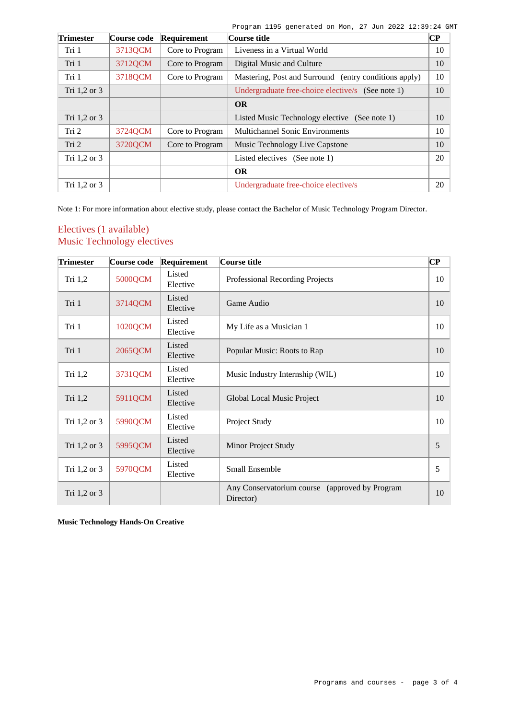Program 1195 generated on Mon, 27 Jun 2022 12:39:24 GMT

| <b>Trimester</b> | Course code | Requirement     | Course title                                          | CР |
|------------------|-------------|-----------------|-------------------------------------------------------|----|
| Tri 1            | 3713QCM     | Core to Program | Liveness in a Virtual World                           | 10 |
| Tri 1            | 3712QCM     | Core to Program | Digital Music and Culture                             | 10 |
| Tri 1            | 3718QCM     | Core to Program | Mastering, Post and Surround (entry conditions apply) | 10 |
| Tri 1,2 or 3     |             |                 | Undergraduate free-choice elective/s (See note 1)     | 10 |
|                  |             |                 | <b>OR</b>                                             |    |
| Tri 1,2 or 3     |             |                 | Listed Music Technology elective (See note 1)         | 10 |
| Tri 2            | 3724QCM     | Core to Program | <b>Multichannel Sonic Environments</b>                | 10 |
| Tri 2            | 3720QCM     | Core to Program | Music Technology Live Capstone                        | 10 |
| Tri $1,2$ or $3$ |             |                 | Listed electives (See note 1)                         | 20 |
|                  |             |                 | <b>OR</b>                                             |    |
| Tri 1,2 or 3     |             |                 | Undergraduate free-choice elective/s                  | 20 |

Note 1: For more information about elective study, please contact the Bachelor of Music Technology Program Director.

## Electives (1 available) Music Technology electives

| <b>Trimester</b> | Course code | Requirement        | Course title                                                | $\bf CP$ |
|------------------|-------------|--------------------|-------------------------------------------------------------|----------|
| Tri 1,2          | 5000QCM     | Listed<br>Elective | Professional Recording Projects                             | 10       |
| Tri 1            | 3714QCM     | Listed<br>Elective | Game Audio                                                  |          |
| Tri 1            | 1020QCM     | Listed<br>Elective | My Life as a Musician 1                                     | 10       |
| Tri 1            | 2065QCM     | Listed<br>Elective | Popular Music: Roots to Rap                                 | 10       |
| Tri 1,2          | 3731QCM     | Listed<br>Elective | Music Industry Internship (WIL)                             | 10       |
| Tri 1,2          | 5911QCM     | Listed<br>Elective | Global Local Music Project                                  |          |
| Tri 1,2 or 3     | 5990QCM     | Listed<br>Elective | Project Study                                               | 10       |
| Tri 1,2 or 3     | 5995QCM     | Listed<br>Elective | Minor Project Study                                         | 5        |
| Tri 1,2 or 3     | 5970QCM     | Listed<br>Elective | <b>Small Ensemble</b>                                       | 5        |
| Tri 1,2 or 3     |             |                    | Any Conservatorium course (approved by Program<br>Director) | 10       |

**Music Technology Hands-On Creative**